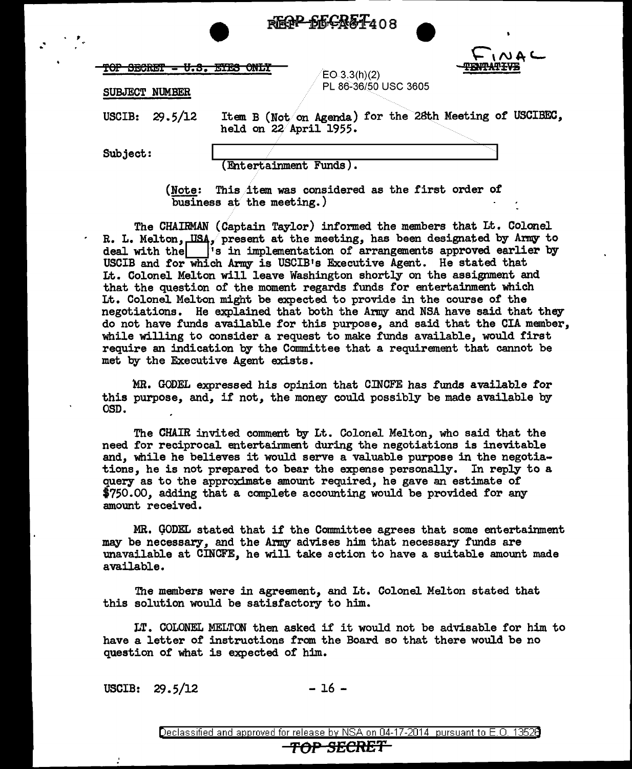



| $M \wedge T$ $\wedge T \wedge T$   |  | TY A TRETA ASTER |  |
|------------------------------------|--|------------------|--|
| <u>IAI DEAMEI - A'D' TIRO ANNI</u> |  |                  |  |

 $EO.3.3(h)(2)$ PL 86~36/50 USC 3605

SUBJECT NUMBER

USCIB: 29.5/12 Item B (Not on Agenda) for the 28th Meeting of USCIBEC, held on 22 April 1955.

Subject:

 $\cdot$  .  $\cdot$  ,  $\cdot$ 

(Entertainment Funds) •

{Note: This item was considered as the first order of business at the meeting.)

The CHAIRMAN (Captain Taylor) informed the members that Lt. Colonel R. L. Melton, USA, present at the meeting, has been designated by Army to deal with the  $\begin{bmatrix} i_s \end{bmatrix}$  in implementation of arrangements approved earlier by USCIB and for which Army is USCIB1s Executive Agent. He stated that Lt. Colonel Melton will leave Washington shortly on the assignment and that the question of the moment regards funds for entertainment which Lt. Colonel Melton might be expected to provide in the course of the negotiations. He explained that both the Army and NSA have said that they do not have funds available for this purpose, and said that the CIA member, while willing to consider a request to make funds available, would first require an indication by the Committee that a requirement that cannot be met by the Executive Agent exists.

MR. GODEL expressed his opinion that CINCFE has funds available tor this purpose, and, if not, the money could possibly be made available by OSD.

The CHAIR invited comment by Lt. Colonel Melton, who said that the need for reciprocal entertainment during the negotiations is inevitable and, while he believes it would serve a valuable purpose in the negotiations, he is not prepared to bear the expense personally. In reply to a query as to the approximate amount required, he gave an estimate of \$750.00, adding that a complete accounting would be provided for any amount received.

MR. GODEL stated that it the Committee agrees that some entertainment may be necessary, and the Army advises him that necessary funds are unavailable at CINCFE, he will take action to have a suitable amount made available.

The members were in agreement, and Lt. Colonel Melton stated that this solution would be satisfactory to him.

LT. COLONEL MELTON then asked if it would not be advisable for him to have a letter of instructions from the Board so that there would be no question of what is expected of him.

 $USCIB: 29.5/12$  - 16 -

Declassified and approved for release by NSA on 04-17-2014 pursuant to E. 0. 1352B

## *TOP* SECRET